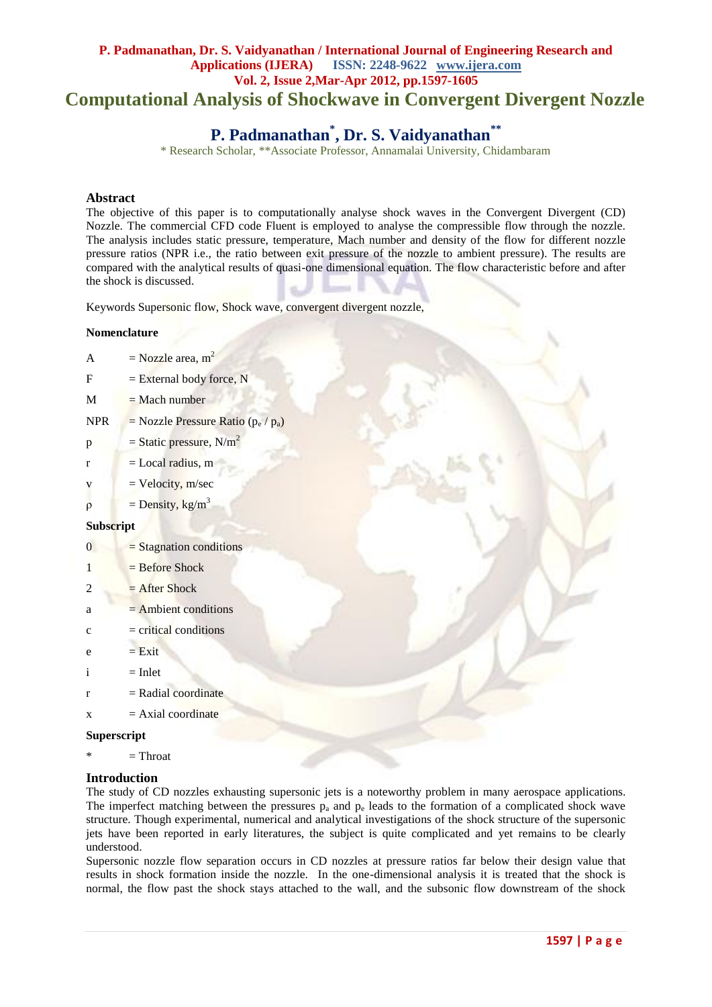# **P. Padmanathan, Dr. S. Vaidyanathan / International Journal of Engineering Research and Applications (IJERA) ISSN: 2248-9622 www.ijera.com Vol. 2, Issue 2,Mar-Apr 2012, pp.1597-1605 Computational Analysis of Shockwave in Convergent Divergent Nozzle**

# **P. Padmanathan\* , Dr. S. Vaidyanathan\*\***

\* Research Scholar, \*\*Associate Professor, Annamalai University, Chidambaram

## **Abstract**

The objective of this paper is to computationally analyse shock waves in the Convergent Divergent (CD) Nozzle. The commercial CFD code Fluent is employed to analyse the compressible flow through the nozzle. The analysis includes static pressure, temperature, Mach number and density of the flow for different nozzle pressure ratios (NPR i.e., the ratio between exit pressure of the nozzle to ambient pressure). The results are compared with the analytical results of quasi-one dimensional equation. The flow characteristic before and after the shock is discussed.

Keywords Supersonic flow, Shock wave, convergent divergent nozzle,

#### **Nomenclature**

| $\mathbf{A}$     | $=$ Nozzle area, m <sup>2</sup>       |
|------------------|---------------------------------------|
| F                | $=$ External body force, N            |
| M                | $=$ Mach number                       |
| <b>NPR</b>       | = Nozzle Pressure Ratio $(p_e / p_a)$ |
| $\, {\bf p}$     | $=$ Static pressure, N/m <sup>2</sup> |
| r                | $=$ Local radius, m                   |
| V                | $=$ Velocity, m/sec                   |
| $\rho$           | $=$ Density, kg/m <sup>3</sup>        |
| <b>Subscript</b> |                                       |
| $\overline{0}$   | $=$ Stagnation conditions             |
| 1                | $=$ Before Shock                      |
| 2                | $=$ After Shock                       |
| a                | $=$ Ambient conditions                |
| $\mathbf c$      | $=$ critical conditions               |
| e                | $= Exit$                              |
| $\mathbf{i}$     | $=$ Inlet                             |
| $\mathbf{r}$     | $=$ Radial coordinate                 |
| X                | $=$ Axial coordinate                  |
| Superscript      |                                       |

 $*$  = Throat

#### **Introduction**

The study of CD nozzles exhausting supersonic jets is a noteworthy problem in many aerospace applications. The imperfect matching between the pressures  $p_a$  and  $p_e$  leads to the formation of a complicated shock wave structure. Though experimental, numerical and analytical investigations of the shock structure of the supersonic jets have been reported in early literatures, the subject is quite complicated and yet remains to be clearly understood.

Supersonic nozzle flow separation occurs in CD nozzles at pressure ratios far below their design value that results in shock formation inside the nozzle. In the one-dimensional analysis it is treated that the shock is normal, the flow past the shock stays attached to the wall, and the subsonic flow downstream of the shock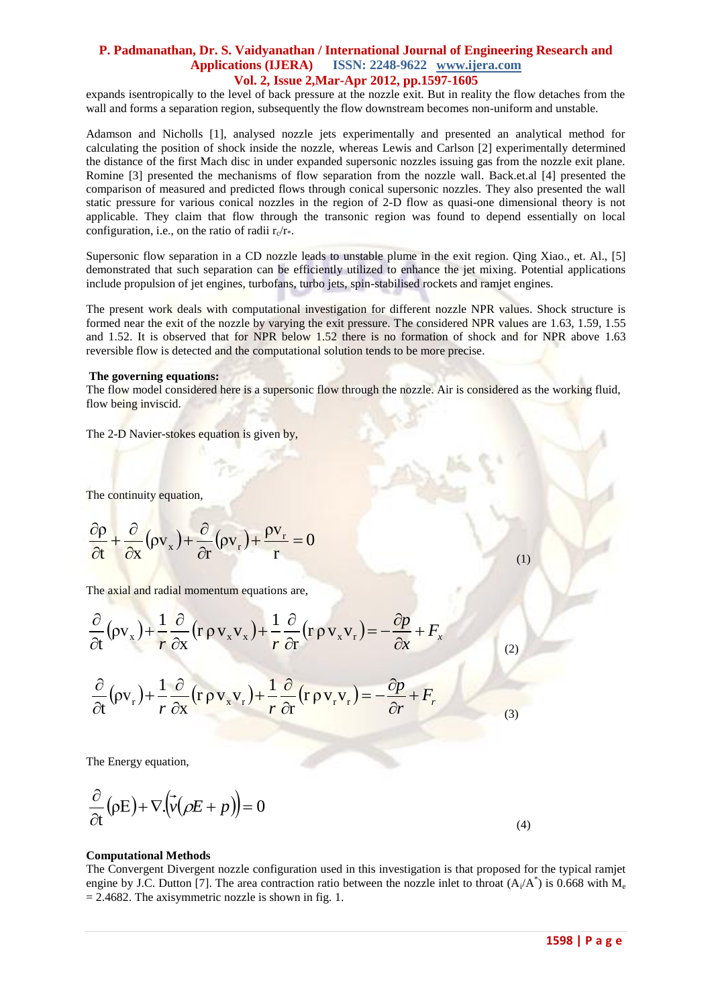expands isentropically to the level of back pressure at the nozzle exit. But in reality the flow detaches from the wall and forms a separation region, subsequently the flow downstream becomes non-uniform and unstable.

Adamson and Nicholls [1], analysed nozzle jets experimentally and presented an analytical method for calculating the position of shock inside the nozzle, whereas Lewis and Carlson [2] experimentally determined the distance of the first Mach disc in under expanded supersonic nozzles issuing gas from the nozzle exit plane. Romine [3] presented the mechanisms of flow separation from the nozzle wall. Back.et.al [4] presented the comparison of measured and predicted flows through conical supersonic nozzles. They also presented the wall static pressure for various conical nozzles in the region of 2-D flow as quasi-one dimensional theory is not applicable. They claim that flow through the transonic region was found to depend essentially on local configuration, i.e., on the ratio of radii  $r_c/r_*$ .

Supersonic flow separation in a CD nozzle leads to unstable plume in the exit region. Qing Xiao., et. Al., [5] demonstrated that such separation can be efficiently utilized to enhance the jet mixing. Potential applications include propulsion of jet engines, turbofans, turbo jets, spin-stabilised rockets and ramjet engines.

The present work deals with computational investigation for different nozzle NPR values. Shock structure is formed near the exit of the nozzle by varying the exit pressure. The considered NPR values are 1.63, 1.59, 1.55 and 1.52. It is observed that for NPR below 1.52 there is no formation of shock and for NPR above 1.63 reversible flow is detected and the computational solution tends to be more precise.

#### **The governing equations:**

The flow model considered here is a supersonic flow through the nozzle. Air is considered as the working fluid, flow being inviscid.

The 2-D Navier-stokes equation is given by,

The continuity equation,

$$
\frac{\partial \rho}{\partial t} + \frac{\partial}{\partial x} (\rho v_x) + \frac{\partial}{\partial r} (\rho v_r) + \frac{\rho v_r}{r} = 0
$$

The axial and radial momentum equations are,

$$
\frac{\partial}{\partial t} (\rho v_x) + \frac{1}{r} \frac{\partial}{\partial x} (r \rho v_x v_x) + \frac{1}{r} \frac{\partial}{\partial r} (r \rho v_x v_r) = -\frac{\partial p}{\partial x} + F_x
$$
\n
$$
\frac{\partial}{\partial t} (\rho v_r) + \frac{1}{r} \frac{\partial}{\partial x} (r \rho v_x v_r) + \frac{1}{r} \frac{\partial}{\partial r} (r \rho v_r v_r) = -\frac{\partial p}{\partial r} + F_r
$$
\n(3)

The Energy equation,

$$
\frac{\partial}{\partial t}(\rho E) + \nabla \left(\vec{v}(\rho E + p)\right) = 0
$$

(4)

(1)

#### **Computational Methods**

The Convergent Divergent nozzle configuration used in this investigation is that proposed for the typical ramjet engine by J.C. Dutton [7]. The area contraction ratio between the nozzle inlet to throat  $(A_i/A^*)$  is 0.668 with  $M_e$  $= 2.4682$ . The axisymmetric nozzle is shown in fig. 1.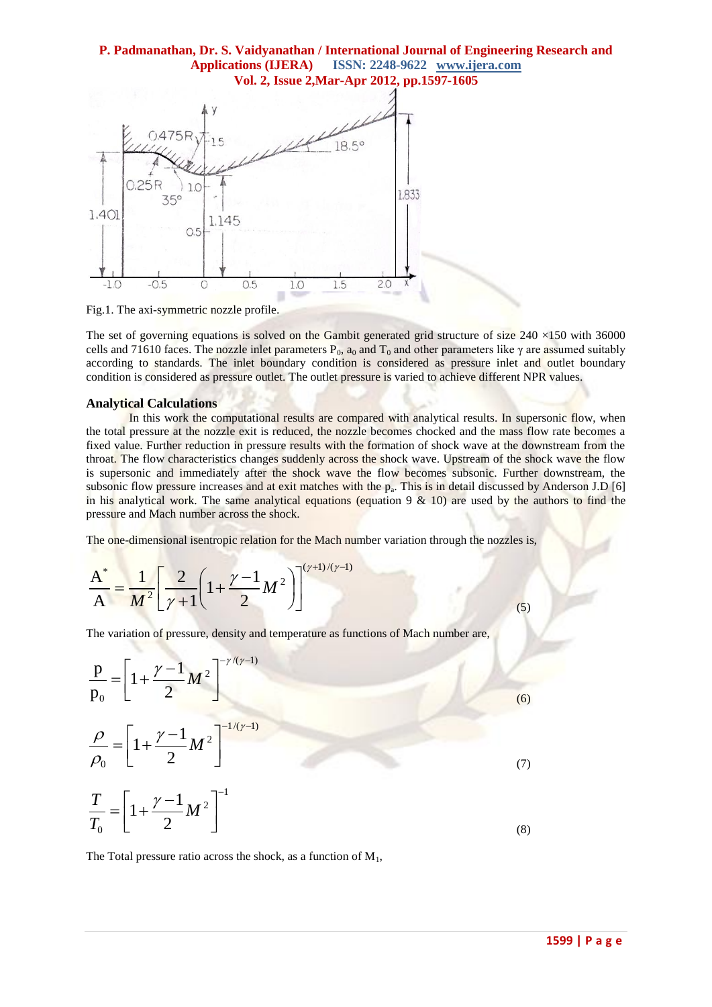

Fig.1. The axi-symmetric nozzle profile.

The set of governing equations is solved on the Gambit generated grid structure of size  $240 \times 150$  with 36000 cells and 71610 faces. The nozzle inlet parameters  $P_0$ ,  $a_0$  and  $T_0$  and other parameters like  $\gamma$  are assumed suitably according to standards. The inlet boundary condition is considered as pressure inlet and outlet boundary condition is considered as pressure outlet. The outlet pressure is varied to achieve different NPR values.

#### **Analytical Calculations**

In this work the computational results are compared with analytical results. In supersonic flow, when the total pressure at the nozzle exit is reduced, the nozzle becomes chocked and the mass flow rate becomes a fixed value. Further reduction in pressure results with the formation of shock wave at the downstream from the throat. The flow characteristics changes suddenly across the shock wave. Upstream of the shock wave the flow is supersonic and immediately after the shock wave the flow becomes subsonic. Further downstream, the subsonic flow pressure increases and at exit matches with the  $p_a$ . This is in detail discussed by Anderson J.D [6] in his analytical work. The same analytical equations (equation 9  $\&$  10) are used by the authors to find the pressure and Mach number across the shock.

The one-dimensional isentropic relation for the Mach number variation through the nozzles is,

$$
\frac{A^*}{A} = \frac{1}{M^2} \left[ \frac{2}{\gamma + 1} \left( 1 + \frac{\gamma - 1}{2} M^2 \right) \right]^{(\gamma + 1)/(\gamma - 1)}
$$

The variation of pressure, density and temperature as functions of Mach number are,

$$
\frac{p}{p_0} = \left[1 + \frac{\gamma - 1}{2} M^2\right]^{-\gamma/(\gamma - 1)}
$$
\n
$$
\frac{\rho}{\rho_0} = \left[1 + \frac{\gamma - 1}{2} M^2\right]^{-1/(\gamma - 1)}
$$
\n
$$
\frac{T}{T_0} = \left[1 + \frac{\gamma - 1}{2} M^2\right]^{-1}
$$
\n(3)

The Total pressure ratio across the shock, as a function of  $M_1$ ,

(5)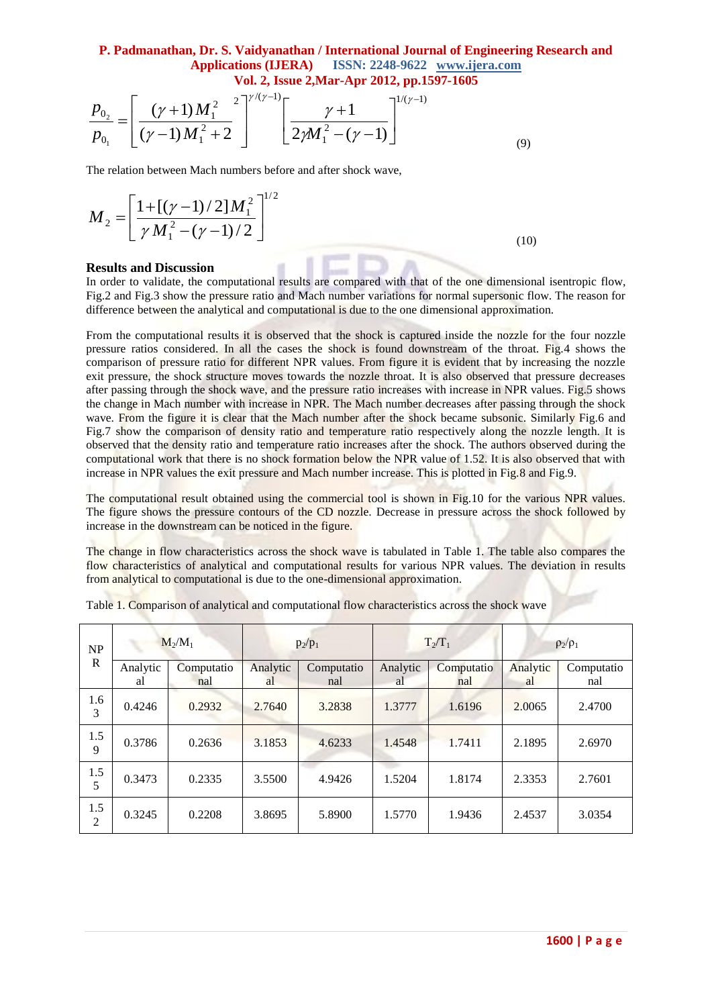$$
\frac{p_{0_2}}{p_{0_1}} = \left[ \frac{(\gamma + 1)M_1^2}{(\gamma - 1)M_1^2 + 2} \right]^{\gamma/(\gamma - 1)} \left[ \frac{\gamma + 1}{2\gamma M_1^2 - (\gamma - 1)} \right]^{1/(\gamma - 1)}
$$
\n(9)

$$
M_2 = \left[\frac{1 + [(\gamma - 1)/2]M_1^2}{\gamma M_1^2 - (\gamma - 1)/2}\right]^{1/2}
$$
\n(10)

#### **Results and Discussion**

|                                                                                                                                                                                                                                                                                                                                                                                                                                                                                                                                                                                                                                                                                                                                                                                                                                                                                                                                                                                                                                                                                                                                                                                                                                                                                                                                                                                                                                                                                                                                                                                                                                                                                                                                                                                                                                                                                                                                                                                              |                | $\frac{p_{0_2}}{p_{0_1}} = \left[\frac{(\gamma+1)M_1^2}{(\gamma-1)M_1^2+2}\right]^{\gamma/(\gamma-1)} \left[\frac{\gamma+1}{2\gamma M_1^2-(\gamma-1)}\right]^{1/(\gamma-1)}$ |                |                   |                |                   | (9)             |                   |  |  |
|----------------------------------------------------------------------------------------------------------------------------------------------------------------------------------------------------------------------------------------------------------------------------------------------------------------------------------------------------------------------------------------------------------------------------------------------------------------------------------------------------------------------------------------------------------------------------------------------------------------------------------------------------------------------------------------------------------------------------------------------------------------------------------------------------------------------------------------------------------------------------------------------------------------------------------------------------------------------------------------------------------------------------------------------------------------------------------------------------------------------------------------------------------------------------------------------------------------------------------------------------------------------------------------------------------------------------------------------------------------------------------------------------------------------------------------------------------------------------------------------------------------------------------------------------------------------------------------------------------------------------------------------------------------------------------------------------------------------------------------------------------------------------------------------------------------------------------------------------------------------------------------------------------------------------------------------------------------------------------------------|----------------|------------------------------------------------------------------------------------------------------------------------------------------------------------------------------|----------------|-------------------|----------------|-------------------|-----------------|-------------------|--|--|
| The relation between Mach numbers before and after shock wave,                                                                                                                                                                                                                                                                                                                                                                                                                                                                                                                                                                                                                                                                                                                                                                                                                                                                                                                                                                                                                                                                                                                                                                                                                                                                                                                                                                                                                                                                                                                                                                                                                                                                                                                                                                                                                                                                                                                               |                |                                                                                                                                                                              |                |                   |                |                   |                 |                   |  |  |
| $M_2 = \left  \frac{1 + [(\gamma - 1)/2] M_1^2}{\gamma M_1^2 - (\gamma - 1)/2} \right ^{1/2}$<br>(10)                                                                                                                                                                                                                                                                                                                                                                                                                                                                                                                                                                                                                                                                                                                                                                                                                                                                                                                                                                                                                                                                                                                                                                                                                                                                                                                                                                                                                                                                                                                                                                                                                                                                                                                                                                                                                                                                                        |                |                                                                                                                                                                              |                |                   |                |                   |                 |                   |  |  |
| <b>Results and Discussion</b><br>In order to validate, the computational results are compared with that of the one dimensional isentropic flow,<br>Fig.2 and Fig.3 show the pressure ratio and Mach number variations for normal supersonic flow. The reason for<br>difference between the analytical and computational is due to the one dimensional approximation.                                                                                                                                                                                                                                                                                                                                                                                                                                                                                                                                                                                                                                                                                                                                                                                                                                                                                                                                                                                                                                                                                                                                                                                                                                                                                                                                                                                                                                                                                                                                                                                                                         |                |                                                                                                                                                                              |                |                   |                |                   |                 |                   |  |  |
| From the computational results it is observed that the shock is captured inside the nozzle for the four nozzle<br>pressure ratios considered. In all the cases the shock is found downstream of the throat. Fig.4 shows the<br>comparison of pressure ratio for different NPR values. From figure it is evident that by increasing the nozzle<br>exit pressure, the shock structure moves towards the nozzle throat. It is also observed that pressure decreases<br>after passing through the shock wave, and the pressure ratio increases with increase in NPR values. Fig.5 shows<br>the change in Mach number with increase in NPR. The Mach number decreases after passing through the shock<br>wave. From the figure it is clear that the Mach number after the shock became subsonic. Similarly Fig.6 and<br>Fig.7 show the comparison of density ratio and temperature ratio respectively along the nozzle length. It is<br>observed that the density ratio and temperature ratio increases after the shock. The authors observed during the<br>computational work that there is no shock formation below the NPR value of 1.52. It is also observed that with<br>increase in NPR values the exit pressure and Mach number increase. This is plotted in Fig.8 and Fig.9.<br>The computational result obtained using the commercial tool is shown in Fig.10 for the various NPR values.<br>The figure shows the pressure contours of the CD nozzle. Decrease in pressure across the shock followed by<br>increase in the downstream can be noticed in the figure.<br>The change in flow characteristics across the shock wave is tabulated in Table 1. The table also compares the<br>flow characteristics of analytical and computational results for various NPR values. The deviation in results<br>from analytical to computational is due to the one-dimensional approximation.<br>Table 1. Comparison of analytical and computational flow characteristics across the shock wave |                |                                                                                                                                                                              |                |                   |                |                   |                 |                   |  |  |
| $\ensuremath{\mathbf{NP}}\xspace$                                                                                                                                                                                                                                                                                                                                                                                                                                                                                                                                                                                                                                                                                                                                                                                                                                                                                                                                                                                                                                                                                                                                                                                                                                                                                                                                                                                                                                                                                                                                                                                                                                                                                                                                                                                                                                                                                                                                                            | $M_2/M_1$      |                                                                                                                                                                              | $p_2/p_1$      |                   | $T_2/T_1$      |                   | $\rho_2/\rho_1$ |                   |  |  |
| $\mathbf R$                                                                                                                                                                                                                                                                                                                                                                                                                                                                                                                                                                                                                                                                                                                                                                                                                                                                                                                                                                                                                                                                                                                                                                                                                                                                                                                                                                                                                                                                                                                                                                                                                                                                                                                                                                                                                                                                                                                                                                                  | Analytic<br>al | Computatio<br>nal                                                                                                                                                            | Analytic<br>al | Computatio<br>nal | Analytic<br>al | Computatio<br>nal | Analytic<br>al  | Computatio<br>nal |  |  |
| 1.6<br>$\mathfrak{Z}$                                                                                                                                                                                                                                                                                                                                                                                                                                                                                                                                                                                                                                                                                                                                                                                                                                                                                                                                                                                                                                                                                                                                                                                                                                                                                                                                                                                                                                                                                                                                                                                                                                                                                                                                                                                                                                                                                                                                                                        | 0.4246         | 0.2932                                                                                                                                                                       | 2.7640         | 3.2838            | 1.3777         | 1.6196            | 2.0065          | 2.4700            |  |  |
| 1.5<br>9                                                                                                                                                                                                                                                                                                                                                                                                                                                                                                                                                                                                                                                                                                                                                                                                                                                                                                                                                                                                                                                                                                                                                                                                                                                                                                                                                                                                                                                                                                                                                                                                                                                                                                                                                                                                                                                                                                                                                                                     | 0.3786         | 0.2636                                                                                                                                                                       | 3.1853         | 4.6233            | 1.4548         | 1.7411            | 2.1895          | 2.6970            |  |  |
| 1.5<br>5                                                                                                                                                                                                                                                                                                                                                                                                                                                                                                                                                                                                                                                                                                                                                                                                                                                                                                                                                                                                                                                                                                                                                                                                                                                                                                                                                                                                                                                                                                                                                                                                                                                                                                                                                                                                                                                                                                                                                                                     | 0.3473         | 0.2335                                                                                                                                                                       | 3.5500         | 4.9426            | 1.5204         | 1.8174            | 2.3353          | 2.7601            |  |  |
| 1.5<br>$\overline{2}$                                                                                                                                                                                                                                                                                                                                                                                                                                                                                                                                                                                                                                                                                                                                                                                                                                                                                                                                                                                                                                                                                                                                                                                                                                                                                                                                                                                                                                                                                                                                                                                                                                                                                                                                                                                                                                                                                                                                                                        | 0.3245         | 0.2208                                                                                                                                                                       | 3.8695         | 5.8900            | 1.5770         | 1.9436            | 2.4537          | 3.0354            |  |  |
|                                                                                                                                                                                                                                                                                                                                                                                                                                                                                                                                                                                                                                                                                                                                                                                                                                                                                                                                                                                                                                                                                                                                                                                                                                                                                                                                                                                                                                                                                                                                                                                                                                                                                                                                                                                                                                                                                                                                                                                              |                |                                                                                                                                                                              |                |                   |                |                   |                 | 1600   Page       |  |  |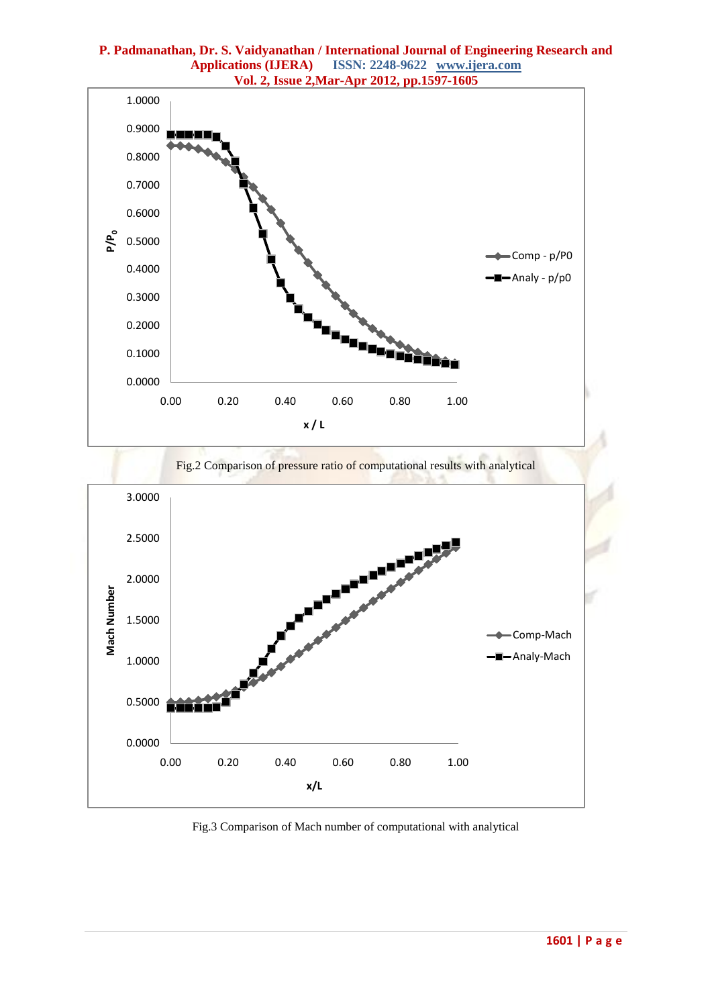



Fig.3 Comparison of Mach number of computational with analytical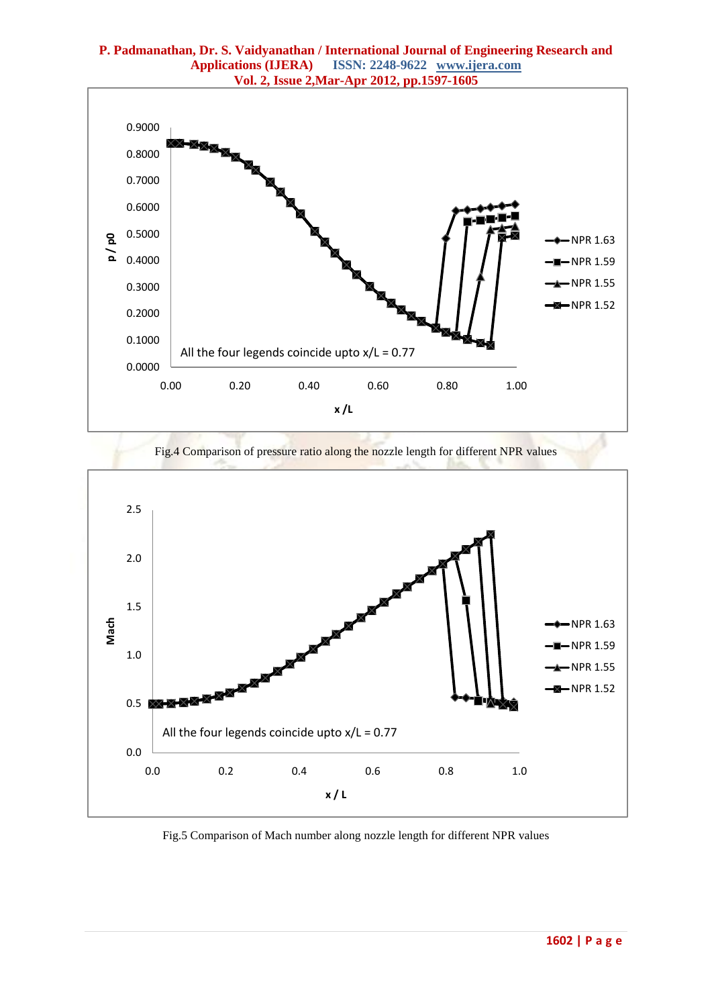

Fig.4 Comparison of pressure ratio along the nozzle length for different NPR values



Fig.5 Comparison of Mach number along nozzle length for different NPR values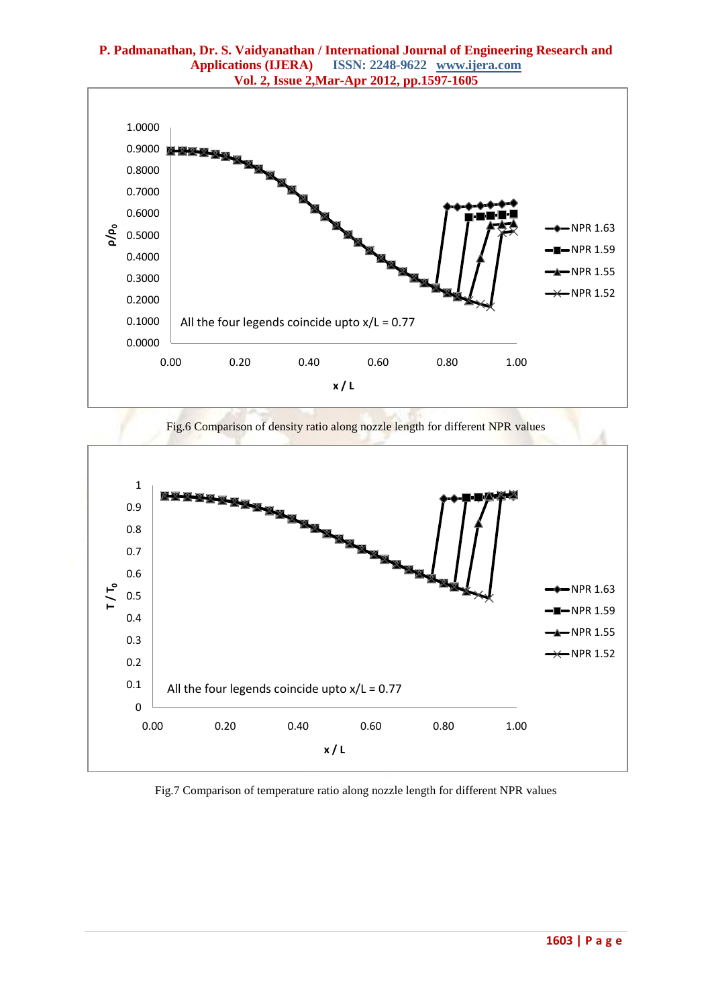

Fig.6 Comparison of density ratio along nozzle length for different NPR values



Fig.7 Comparison of temperature ratio along nozzle length for different NPR values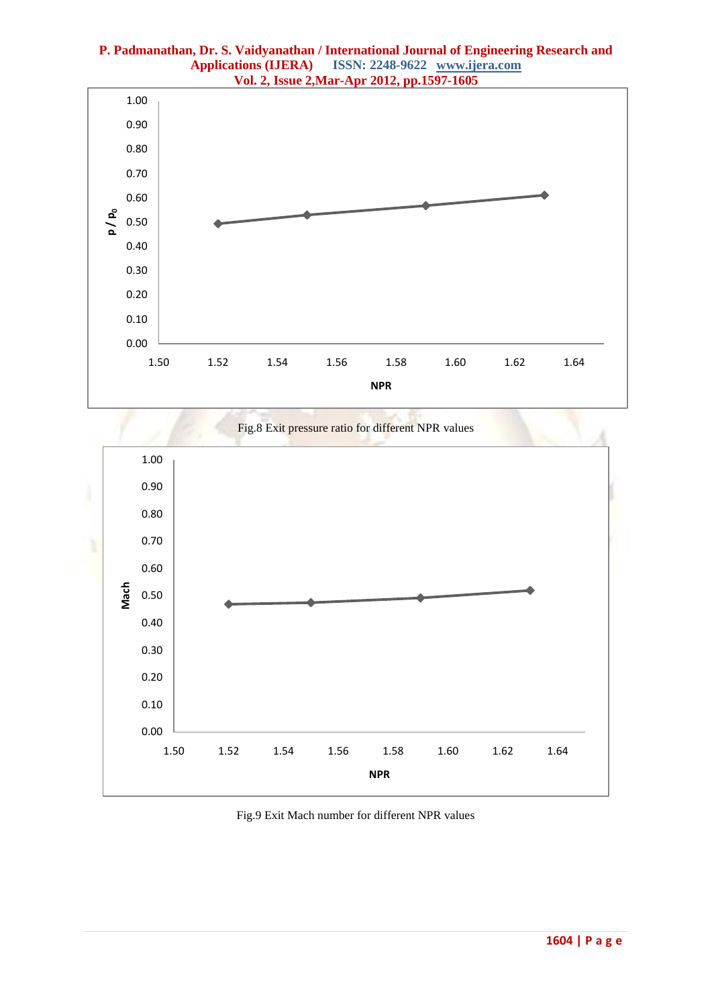





Fig.9 Exit Mach number for different NPR values